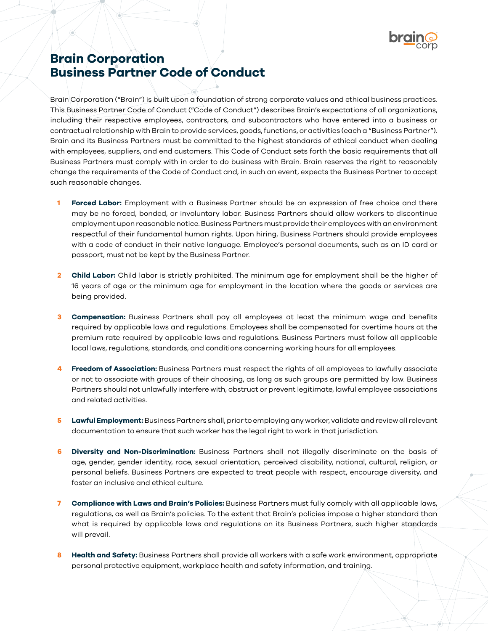

## **Brain Corporation Business Partner Code of Conduct**

Brain Corporation ("Brain") is built upon a foundation of strong corporate values and ethical business practices. This Business Partner Code of Conduct ("Code of Conduct") describes Brain's expectations of all organizations, including their respective employees, contractors, and subcontractors who have entered into a business or contractual relationship with Brain to provide services, goods, functions, or activities (each a "Business Partner"). Brain and its Business Partners must be committed to the highest standards of ethical conduct when dealing with employees, suppliers, and end customers. This Code of Conduct sets forth the basic requirements that all Business Partners must comply with in order to do business with Brain. Brain reserves the right to reasonably change the requirements of the Code of Conduct and, in such an event, expects the Business Partner to accept such reasonable changes.

- **1 Forced Labor:** Employment with a Business Partner should be an expression of free choice and there may be no forced, bonded, or involuntary labor. Business Partners should allow workers to discontinue employment upon reasonable notice. Business Partners must provide their employees with an environment respectful of their fundamental human rights. Upon hiring, Business Partners should provide employees with a code of conduct in their native language. Employee's personal documents, such as an ID card or passport, must not be kept by the Business Partner.
- **2 Child Labor:** Child labor is strictly prohibited. The minimum age for employment shall be the higher of 16 years of age or the minimum age for employment in the location where the goods or services are being provided.
- **3 Compensation:** Business Partners shall pay all employees at least the minimum wage and benefits required by applicable laws and regulations. Employees shall be compensated for overtime hours at the premium rate required by applicable laws and regulations. Business Partners must follow all applicable local laws, regulations, standards, and conditions concerning working hours for all employees.
- **4 Freedom of Association:** Business Partners must respect the rights of all employees to lawfully associate or not to associate with groups of their choosing, as long as such groups are permitted by law. Business Partners should not unlawfully interfere with, obstruct or prevent legitimate, lawful employee associations and related activities.
- **5 Lawful Employment:**Business Partners shall, prior to employing any worker, validate and review all relevant documentation to ensure that such worker has the legal right to work in that jurisdiction.
- **6 Diversity and Non-Discrimination:** Business Partners shall not illegally discriminate on the basis of age, gender, gender identity, race, sexual orientation, perceived disability, national, cultural, religion, or personal beliefs. Business Partners are expected to treat people with respect, encourage diversity, and foster an inclusive and ethical culture.
- **7 Compliance with Laws and Brain's Policies:** Business Partners must fully comply with all applicable laws, regulations, as well as Brain's policies. To the extent that Brain's policies impose a higher standard than what is required by applicable laws and regulations on its Business Partners, such higher standards will prevail.
- **8 Health and Safety:** Business Partners shall provide all workers with a safe work environment, appropriate personal protective equipment, workplace health and safety information, and training.